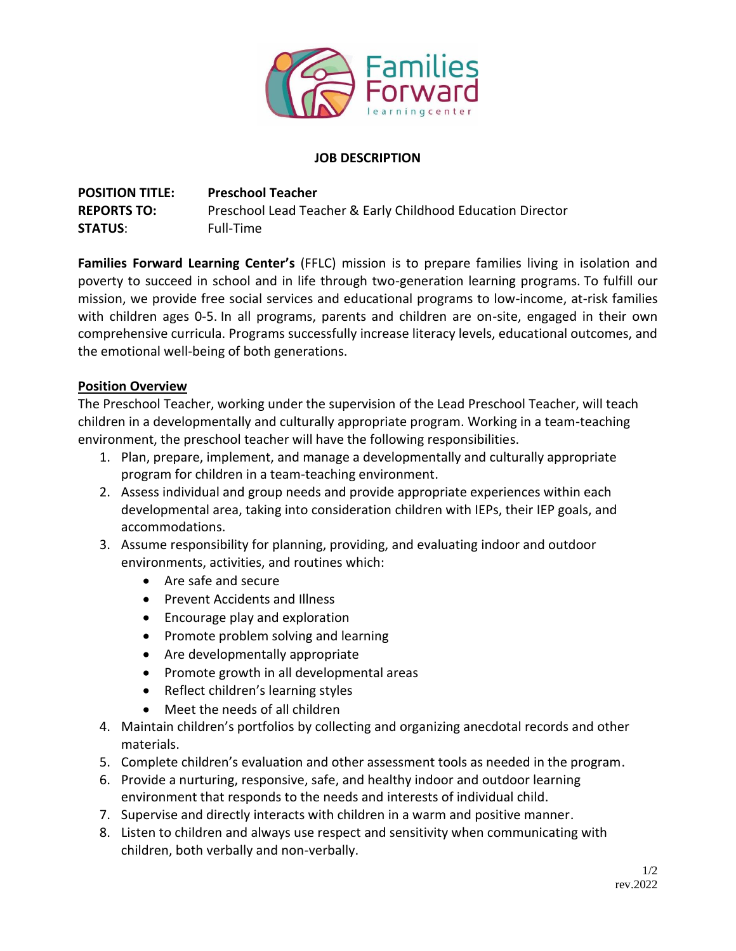

### **JOB DESCRIPTION**

**POSITION TITLE: REPORTS TO: STATUS**: **Preschool Teacher**  Preschool Lead Teacher & Early Childhood Education Director Full-Time

**Families Forward Learning Center's** (FFLC) mission is to prepare families living in isolation and poverty to succeed in school and in life through two-generation learning programs. To fulfill our mission, we provide free social services and educational programs to low-income, at-risk families with children ages 0-5. In all programs, parents and children are on-site, engaged in their own comprehensive curricula. Programs successfully increase literacy levels, educational outcomes, and the emotional well-being of both generations.

### **Position Overview**

The Preschool Teacher, working under the supervision of the Lead Preschool Teacher, will teach children in a developmentally and culturally appropriate program. Working in a team-teaching environment, the preschool teacher will have the following responsibilities.

- 1. Plan, prepare, implement, and manage a developmentally and culturally appropriate program for children in a team-teaching environment.
- 2. Assess individual and group needs and provide appropriate experiences within each developmental area, taking into consideration children with IEPs, their IEP goals, and accommodations.
- 3. Assume responsibility for planning, providing, and evaluating indoor and outdoor environments, activities, and routines which:
	- Are safe and secure
	- Prevent Accidents and Illness
	- Encourage play and exploration
	- Promote problem solving and learning
	- Are developmentally appropriate
	- Promote growth in all developmental areas
	- Reflect children's learning styles
	- Meet the needs of all children
- 4. Maintain children's portfolios by collecting and organizing anecdotal records and other materials.
- 5. Complete children's evaluation and other assessment tools as needed in the program.
- 6. Provide a nurturing, responsive, safe, and healthy indoor and outdoor learning environment that responds to the needs and interests of individual child.
- 7. Supervise and directly interacts with children in a warm and positive manner.
- 8. Listen to children and always use respect and sensitivity when communicating with children, both verbally and non-verbally.